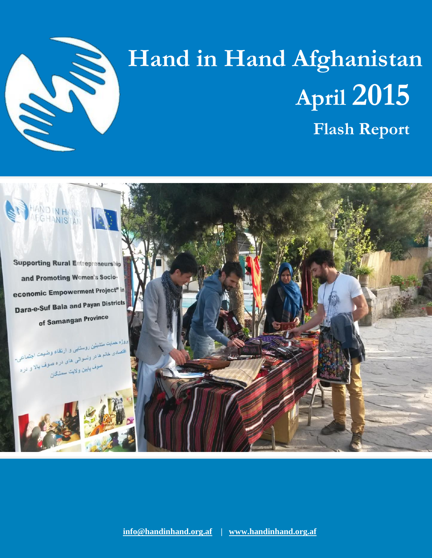

# **Hand in Hand Afghanistan April 2015 Flash Report**

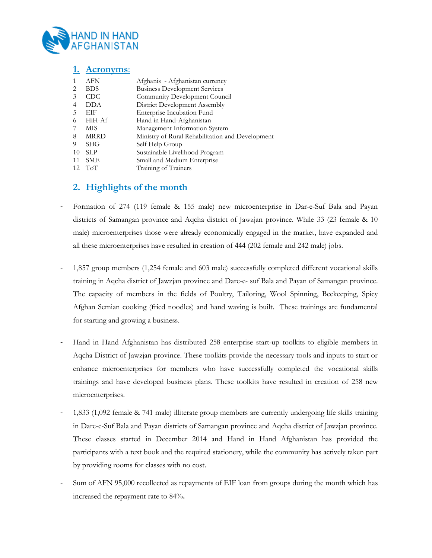

### **1. Acronyms**:

| $\mathbf{1}$   | AFN         | Afghanis - Afghanistan currency                  |
|----------------|-------------|--------------------------------------------------|
| 2              | <b>BDS</b>  | <b>Business Development Services</b>             |
| 3              | CDC.        | Community Development Council                    |
| $\overline{4}$ | DDA         | District Development Assembly                    |
| 5              | EIF         | Enterprise Incubation Fund                       |
| 6              | HiH-Af      | Hand in Hand-Afghanistan                         |
| 7              | MIS         | Management Information System                    |
| 8              | <b>MRRD</b> | Ministry of Rural Rehabilitation and Development |
| 9              | SHG         | Self Help Group                                  |
| 10             | <b>SLP</b>  | Sustainable Livelihood Program                   |
| 11             | <b>SME</b>  | Small and Medium Enterprise                      |
|                | $10T$ T.T   | 生しい しょうしょ (lest or display)                      |

#### 12 ToT Training of Trainers

### **2. Highlights of the month**

- Formation of 274 (119 female & 155 male) new microenterprise in Dar-e-Suf Bala and Payan districts of Samangan province and Aqcha district of Jawzjan province. While 33 (23 female & 10 male) microenterprises those were already economically engaged in the market, have expanded and all these microenterprises have resulted in creation of **444** (202 female and 242 male) jobs.
- 1,857 group members (1,254 female and 603 male) successfully completed different vocational skills training in Aqcha district of Jawzjan province and Dare-e- suf Bala and Payan of Samangan province. The capacity of members in the fields of Poultry, Tailoring, Wool Spinning, Beekeeping, Spicy Afghan Semian cooking (fried noodles) and hand waving is built. These trainings are fundamental for starting and growing a business.
- Hand in Hand Afghanistan has distributed 258 enterprise start-up toolkits to eligible members in Aqcha District of Jawzjan province. These toolkits provide the necessary tools and inputs to start or enhance microenterprises for members who have successfully completed the vocational skills trainings and have developed business plans. These toolkits have resulted in creation of 258 new microenterprises.
- 1,833 (1,092 female & 741 male) illiterate group members are currently undergoing life skills training in Dare-e-Suf Bala and Payan districts of Samangan province and Aqcha district of Jawzjan province. These classes started in December 2014 and Hand in Hand Afghanistan has provided the participants with a text book and the required stationery, while the community has actively taken part by providing rooms for classes with no cost.
- Sum of AFN 95,000 recollected as repayments of EIF loan from groups during the month which has increased the repayment rate to 84%**.**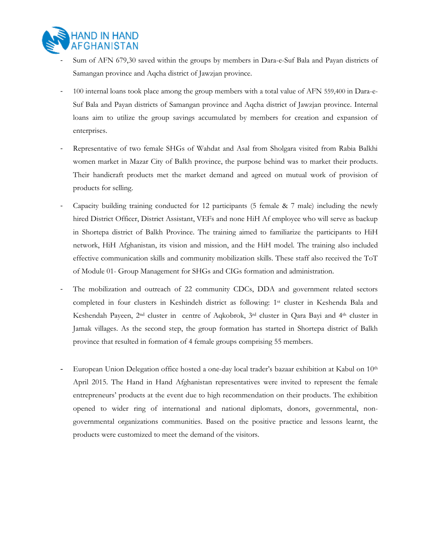

- Sum of AFN 679,30 saved within the groups by members in Dara-e-Suf Bala and Payan districts of Samangan province and Aqcha district of Jawzjan province.
- 100 internal loans took place among the group members with a total value of AFN 559,400 in Dara-e-Suf Bala and Payan districts of Samangan province and Aqcha district of Jawzjan province. Internal loans aim to utilize the group savings accumulated by members for creation and expansion of enterprises.
- Representative of two female SHGs of Wahdat and Asal from Sholgara visited from Rabia Balkhi women market in Mazar City of Balkh province, the purpose behind was to market their products. Their handicraft products met the market demand and agreed on mutual work of provision of products for selling.
- Capacity building training conducted for 12 participants (5 female  $\&$  7 male) including the newly hired District Officer, District Assistant, VEFs and none HiH Af employee who will serve as backup in Shortepa district of Balkh Province. The training aimed to familiarize the participants to HiH network, HiH Afghanistan, its vision and mission, and the HiH model. The training also included effective communication skills and community mobilization skills. These staff also received the ToT of Module 01- Group Management for SHGs and CIGs formation and administration.
- The mobilization and outreach of 22 community CDCs, DDA and government related sectors completed in four clusters in Keshindeh district as following: 1st cluster in Keshenda Bala and Keshendah Payeen, 2<sup>nd</sup> cluster in centre of Aqkobrok, 3<sup>rd</sup> cluster in Qara Bayi and 4<sup>th</sup> cluster in Jamak villages. As the second step, the group formation has started in Shortepa district of Balkh province that resulted in formation of 4 female groups comprising 55 members.
- European Union Delegation office hosted a one-day local trader's bazaar exhibition at Kabul on  $10<sup>th</sup>$ April 2015. The Hand in Hand Afghanistan representatives were invited to represent the female entrepreneurs' products at the event due to high recommendation on their products. The exhibition opened to wider ring of international and national diplomats, donors, governmental, nongovernmental organizations communities. Based on the positive practice and lessons learnt, the products were customized to meet the demand of the visitors.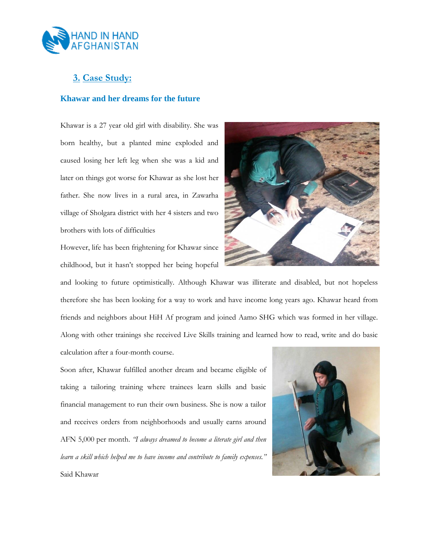

## **3. Case Study:**

#### **Khawar and her dreams for the future**

Khawar is a 27 year old girl with disability. She was born healthy, but a planted mine exploded and caused losing her left leg when she was a kid and later on things got worse for Khawar as she lost her father. She now lives in a rural area, in Zawarha village of Sholgara district with her 4 sisters and two brothers with lots of difficulties

However, life has been frightening for Khawar since childhood, but it hasn't stopped her being hopeful



and looking to future optimistically. Although Khawar was illiterate and disabled, but not hopeless therefore she has been looking for a way to work and have income long years ago. Khawar heard from friends and neighbors about HiH Af program and joined Aamo SHG which was formed in her village. Along with other trainings she received Live Skills training and learned how to read, write and do basic calculation after a four-month course.

Soon after, Khawar fulfilled another dream and became eligible of taking a tailoring training where trainees learn skills and basic financial management to run their own business. She is now a tailor and receives orders from neighborhoods and usually earns around AFN 5,000 per month. *"I always dreamed to become a literate girl and then learn a skill which helped me to have income and contribute to family expenses."*

Said Khawar

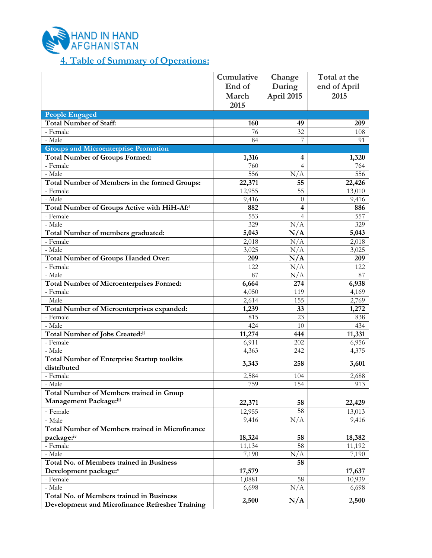

## **4. Table of Summary of Operations:**

|                                                                   | Cumulative | Change          | Total at the |
|-------------------------------------------------------------------|------------|-----------------|--------------|
|                                                                   | End of     | During          | end of April |
|                                                                   | March      | April 2015      | 2015         |
|                                                                   | 2015       |                 |              |
| <b>People Engaged</b>                                             |            |                 |              |
| <b>Total Number of Staff:</b>                                     | 160        | 49              | 209          |
| - Female                                                          | 76         | 32              | 108          |
| - Male                                                            | 84         | 7               | 91           |
| <b>Groups and Microenterprise Promotion</b>                       |            |                 |              |
| <b>Total Number of Groups Formed:</b>                             | 1,316      | 4               | 1,320        |
| - Female                                                          | 760        | 4               | 764          |
| - Male                                                            | 556        | N/A             | 556          |
| Total Number of Members in the formed Groups:                     | 22,371     | 55              | 22,426       |
| - Female                                                          | 12,955     | $\overline{55}$ | 13,010       |
| - Male                                                            | 9,416      | $\theta$        | 9,416        |
| Total Number of Groups Active with HiH-Af:i                       | 882        | 4               | 886          |
| - Female                                                          | 553        | 4               | 557          |
| - Male                                                            | 329        | N/A             | 329          |
| Total Number of members graduated:                                | 5,043      | N/A             | 5,043        |
| - Female                                                          | 2,018      | N/A             | 2,018        |
| - Male                                                            | 3,025      | N/A             | 3,025        |
| <b>Total Number of Groups Handed Over:</b>                        | 209        | N/A             | 209          |
| - Female                                                          | 122        | N/A             | 122          |
| - Male                                                            | 87         | N/A             | 87           |
| <b>Total Number of Microenterprises Formed:</b>                   | 6,664      | 274             | 6,938        |
| - Female                                                          | 4,050      | 119             | 4,169        |
| - Male                                                            | 2,614      | 155             | 2,769        |
| Total Number of Microenterprises expanded:                        | 1,239      | 33              | 1,272        |
| - Female                                                          | 815        | 23              | 838          |
| - Male                                                            | 424        | 10              | 434          |
| Total Number of Jobs Created:ii                                   | 11,274     | 444             | 11,331       |
| - Female                                                          | 6,911      | 202             | 6,956        |
| - Male                                                            | 4,363      | 242             | 4,375        |
| <b>Total Number of Enterprise Startup toolkits</b><br>distributed | 3,343      | 258             | 3,601        |
| - Female                                                          | 2,584      | 104             | 2,688        |
| - Male                                                            | 759        | 154             | 913          |
| <b>Total Number of Members trained in Group</b>                   |            |                 |              |
| Management Package:iii                                            | 22,371     | 58              | 22,429       |
| - Female                                                          | 12,955     | 58              | 13,013       |
| - Male                                                            | 9,416      | N/A             | 9,416        |
| <b>Total Number of Members trained in Microfinance</b>            |            |                 |              |
| package:iv                                                        | 18,324     | 58              | 18,382       |
| - Female                                                          | 11,134     | 58              | 11,192       |
| - Male                                                            | 7,190      | N/A             | 7,190        |
| Total No. of Members trained in Business                          |            | 58              |              |
| Development package:v                                             | 17,579     |                 | 17,637       |
| - Female                                                          | 1,0881     | 58              | 10,939       |
| - Male                                                            | 6,698      | N/A             | 6,698        |
| Total No. of Members trained in Business                          |            |                 |              |
| Development and Microfinance Refresher Training                   | 2,500      | N/A             | 2,500        |